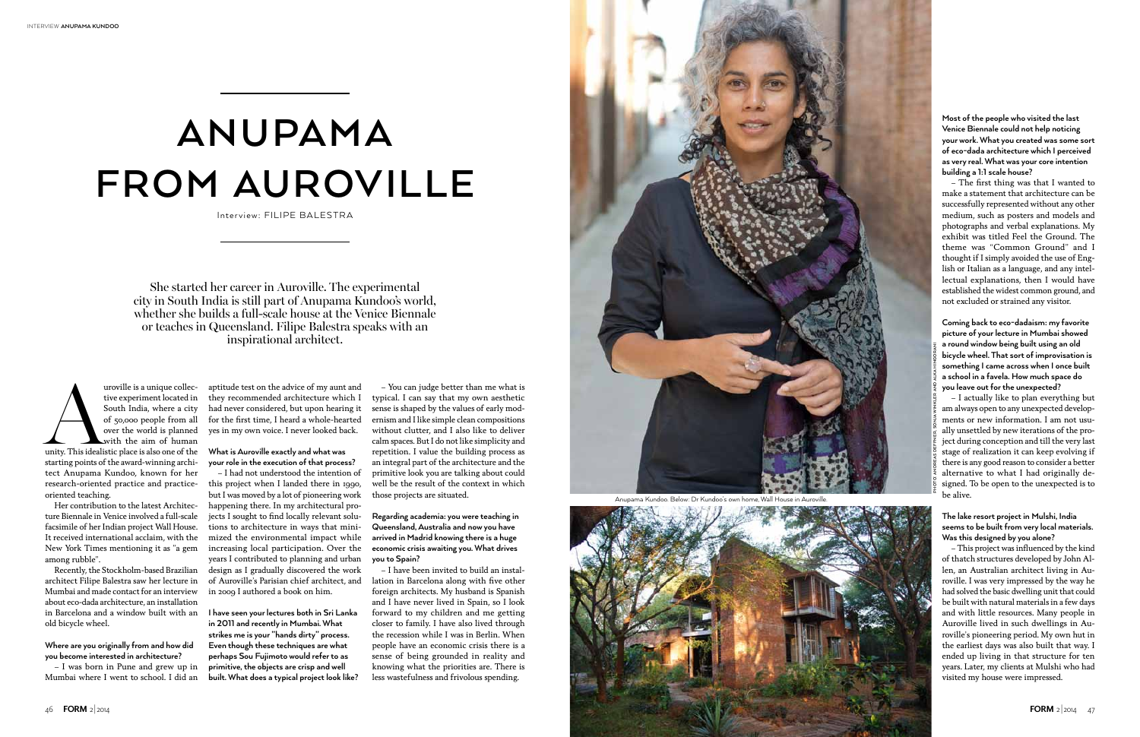



She started her career in Auroville. The experimental city in South India is still part of Anupama Kundoo's world, whether she builds a full-scale house at the Venice Biennale or teaches in Queensland. Filipe Balestra speaks with an inspirational architect.

uroville is a unique collective experiment located in South India, where a city of 50,000 people from all over the world is planned with the aim of human unity. This idealistic place is also one of the tive experiment located in South India, where a city of 50,000 people from all over the world is planned with the aim of human starting points of the award-winning architect Anupama Kundoo, known for her research-oriented practice and practiceoriented teaching.

Her contribution to the latest Architecture Biennale in Venice involved a full-scale facsimile of her Indian project Wall House. It received international acclaim, with the New York Times mentioning it as "a gem among rubble".

Recently, the Stockholm-based Brazilian architect Filipe Balestra saw her lecture in Mumbai and made contact for an interview about eco-dada architecture, an installation in Barcelona and a window built with an old bicycle wheel.

**Where are you originally from and how did you become interested in architecture?**

– I was born in Pune and grew up in Mumbai where I went to school. I did an

## **anupama from Auroville**

Interview: FILIPE BALESTRA

aptitude test on the advice of my aunt and they recommended architecture which I had never considered, but upon hearing it for the first time, I heard a whole-hearted yes in my own voice. I never looked back.

**What is Auroville exactly and what was your role in the execution of that process?**

– I had not understood the intention of this project when I landed there in 1990, but I was moved by a lot of pioneering work happening there. In my architectural projects I sought to find locally relevant solutions to architecture in ways that minimized the environmental impact while increasing local participation. Over the years I contributed to planning and urban design as I gradually discovered the work of Auroville's Parisian chief architect, and in 2009 I authored a book on him.

**I have seen your lectures both in Sri Lanka in 2011 and recently in Mumbai. What strikes me is your "hands dirty" process. Even though these techniques are what perhaps Sou Fujimoto would refer to as primitive, the objects are crisp and well built. What does a typical project look like?** 

– You can judge better than me what is typical. I can say that my own aesthetic sense is shaped by the values of early modernism and I like simple clean compositions without clutter, and I also like to deliver calm spaces. But I do not like simplicity and repetition. I value the building process as an integral part of the architecture and the primitive look you are talking about could well be the result of the context in which those projects are situated.

**Regarding academia: you were teaching in Queensland, Australia and now you have arrived in Madrid knowing there is a huge economic crisis awaiting you. What drives you to Spain?** 

– I have been invited to build an installation in Barcelona along with five other foreign architects. My husband is Spanish and I have never lived in Spain, so I look forward to my children and me getting closer to family. I have also lived through the recession while I was in Berlin. When people have an economic crisis there is a sense of being grounded in reality and knowing what the priorities are. There is less wastefulness and frivolous spending.

**Most of the people who visited the last Venice Biennale could not help noticing your work. What you created was some sort of eco-dada architecture which I perceived as very real. What was your core intention building a 1:1 scale house?** 

– The first thing was that I wanted to make a statement that architecture can be successfully represented without any other medium, such as posters and models and photographs and verbal explanations. My exhibit was titled Feel the Ground. The theme was "Common Ground" and I thought if I simply avoided the use of English or Italian as a language, and any intellectual explanations, then I would have established the widest common ground, and not excluded or strained any visitor.

**Coming back to eco-dadaism: my favorite picture of your lecture in Mumbai showed a round window being built using an old bicycle wheel. That sort of improvisation is something I came across when I once built a school in a favela. How much space do you leave out for the unexpected?**

– I actually like to plan everything but am always open to any unexpected developments or new information. I am not usually unsettled by new iterations of the project during conception and till the very last stage of realization it can keep evolving if there is any good reason to consider a better alternative to what I had originally designed. To be open to the unexpected is to be alive.

## **The lake resort project in Mulshi, India seems to be built from very local materials. Was this designed by you alone?**

– This project was influenced by the kind of thatch structures developed by John Allen, an Australian architect living in Auroville. I was very impressed by the way he had solved the basic dwelling unit that could be built with natural materials in a few days and with little resources. Many people in Auroville lived in such dwellings in Auroville's pioneering period. My own hut in the earliest days was also built that way. I ended up living in that structure for ten years. Later, my clients at Mulshi who had visited my house were impressed.